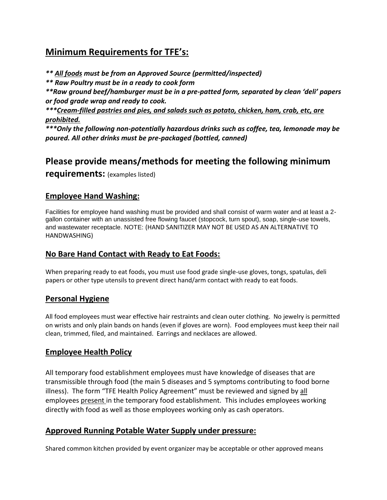# **Minimum Requirements for TFE's:**

*\*\* All foods must be from an Approved Source (permitted/inspected)*

*\*\* Raw Poultry must be in a ready to cook form* 

*\*\*Raw ground beef/hamburger must be in a pre-patted form, separated by clean 'deli' papers or food grade wrap and ready to cook.*

*\*\*\*Cream-filled pastries and pies, and salads such as potato, chicken, ham, crab, etc, are prohibited.*

*\*\*\*Only the following non-potentially hazardous drinks such as coffee, tea, lemonade may be poured. All other drinks must be pre-packaged (bottled, canned)*

# **Please provide means/methods for meeting the following minimum**

**requirements:** (examples listed)

### **Employee Hand Washing:**

Facilities for employee hand washing must be provided and shall consist of warm water and at least a 2 gallon container with an unassisted free flowing faucet (stopcock, turn spout), soap, single-use towels, and wastewater receptacle. NOTE: (HAND SANITIZER MAY NOT BE USED AS AN ALTERNATIVE TO HANDWASHING)

## **No Bare Hand Contact with Ready to Eat Foods:**

When preparing ready to eat foods, you must use food grade single-use gloves, tongs, spatulas, deli papers or other type utensils to prevent direct hand/arm contact with ready to eat foods.

### **Personal Hygiene**

All food employees must wear effective hair restraints and clean outer clothing. No jewelry is permitted on wrists and only plain bands on hands (even if gloves are worn). Food employees must keep their nail clean, trimmed, filed, and maintained. Earrings and necklaces are allowed.

## **Employee Health Policy**

All temporary food establishment employees must have knowledge of diseases that are transmissible through food (the main 5 diseases and 5 symptoms contributing to food borne illness). The form "TFE Health Policy Agreement" must be reviewed and signed by all employees present in the temporary food establishment. This includes employees working directly with food as well as those employees working only as cash operators.

## **Approved Running Potable Water Supply under pressure:**

Shared common kitchen provided by event organizer may be acceptable or other approved means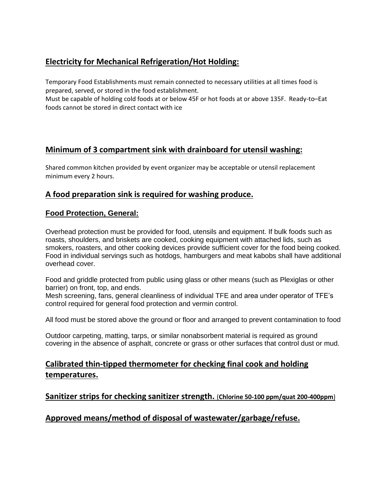# **Electricity for Mechanical Refrigeration/Hot Holding:**

Temporary Food Establishments must remain connected to necessary utilities at all times food is prepared, served, or stored in the food establishment.

Must be capable of holding cold foods at or below 45F or hot foods at or above 135F. Ready-to–Eat foods cannot be stored in direct contact with ice

### **Minimum of 3 compartment sink with drainboard for utensil washing:**

Shared common kitchen provided by event organizer may be acceptable or utensil replacement minimum every 2 hours.

### **A food preparation sink is required for washing produce.**

#### **Food Protection, General:**

Overhead protection must be provided for food, utensils and equipment. If bulk foods such as roasts, shoulders, and briskets are cooked, cooking equipment with attached lids, such as smokers, roasters, and other cooking devices provide sufficient cover for the food being cooked. Food in individual servings such as hotdogs, hamburgers and meat kabobs shall have additional overhead cover.

Food and griddle protected from public using glass or other means (such as Plexiglas or other barrier) on front, top, and ends.

Mesh screening, fans, general cleanliness of individual TFE and area under operator of TFE's control required for general food protection and vermin control.

All food must be stored above the ground or floor and arranged to prevent contamination to food

Outdoor carpeting, matting, tarps, or similar nonabsorbent material is required as ground covering in the absence of asphalt, concrete or grass or other surfaces that control dust or mud.

### **Calibrated thin-tipped thermometer for checking final cook and holding temperatures.**

**Sanitizer strips for checking sanitizer strength.** (**Chlorine 50-100 ppm/quat 200-400ppm**)

### **Approved means/method of disposal of wastewater/garbage/refuse.**